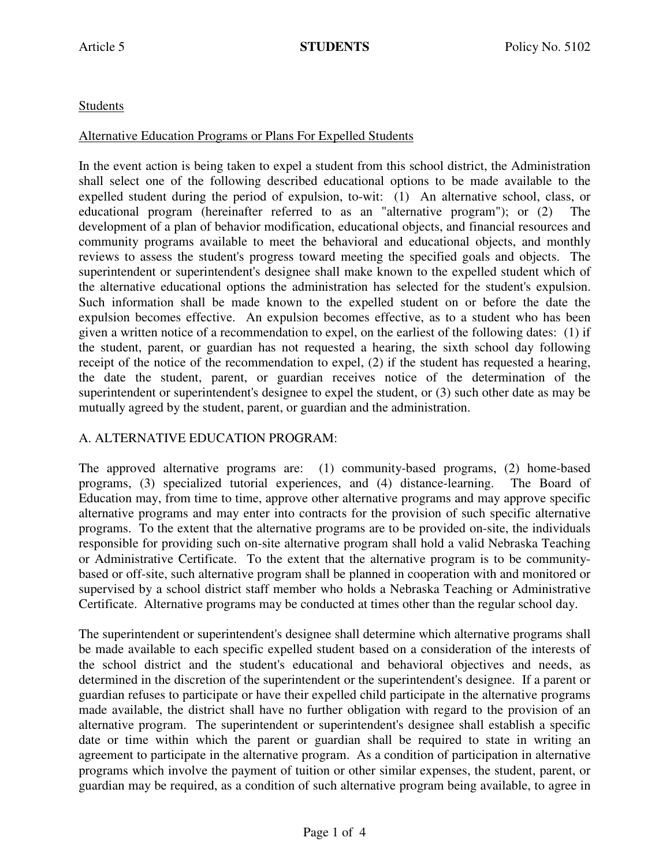# Students

#### Alternative Education Programs or Plans For Expelled Students

In the event action is being taken to expel a student from this school district, the Administration shall select one of the following described educational options to be made available to the expelled student during the period of expulsion, to-wit: (1) An alternative school, class, or educational program (hereinafter referred to as an "alternative program"); or (2) The development of a plan of behavior modification, educational objects, and financial resources and community programs available to meet the behavioral and educational objects, and monthly reviews to assess the student's progress toward meeting the specified goals and objects. The superintendent or superintendent's designee shall make known to the expelled student which of the alternative educational options the administration has selected for the student's expulsion. Such information shall be made known to the expelled student on or before the date the expulsion becomes effective. An expulsion becomes effective, as to a student who has been given a written notice of a recommendation to expel, on the earliest of the following dates: (1) if the student, parent, or guardian has not requested a hearing, the sixth school day following receipt of the notice of the recommendation to expel, (2) if the student has requested a hearing, the date the student, parent, or guardian receives notice of the determination of the superintendent or superintendent's designee to expel the student, or (3) such other date as may be mutually agreed by the student, parent, or guardian and the administration.

### A. ALTERNATIVE EDUCATION PROGRAM:

The approved alternative programs are: (1) community-based programs, (2) home-based programs, (3) specialized tutorial experiences, and (4) distance-learning. The Board of Education may, from time to time, approve other alternative programs and may approve specific alternative programs and may enter into contracts for the provision of such specific alternative programs. To the extent that the alternative programs are to be provided on-site, the individuals responsible for providing such on-site alternative program shall hold a valid Nebraska Teaching or Administrative Certificate. To the extent that the alternative program is to be communitybased or off-site, such alternative program shall be planned in cooperation with and monitored or supervised by a school district staff member who holds a Nebraska Teaching or Administrative Certificate. Alternative programs may be conducted at times other than the regular school day.

The superintendent or superintendent's designee shall determine which alternative programs shall be made available to each specific expelled student based on a consideration of the interests of the school district and the student's educational and behavioral objectives and needs, as determined in the discretion of the superintendent or the superintendent's designee. If a parent or guardian refuses to participate or have their expelled child participate in the alternative programs made available, the district shall have no further obligation with regard to the provision of an alternative program. The superintendent or superintendent's designee shall establish a specific date or time within which the parent or guardian shall be required to state in writing an agreement to participate in the alternative program. As a condition of participation in alternative programs which involve the payment of tuition or other similar expenses, the student, parent, or guardian may be required, as a condition of such alternative program being available, to agree in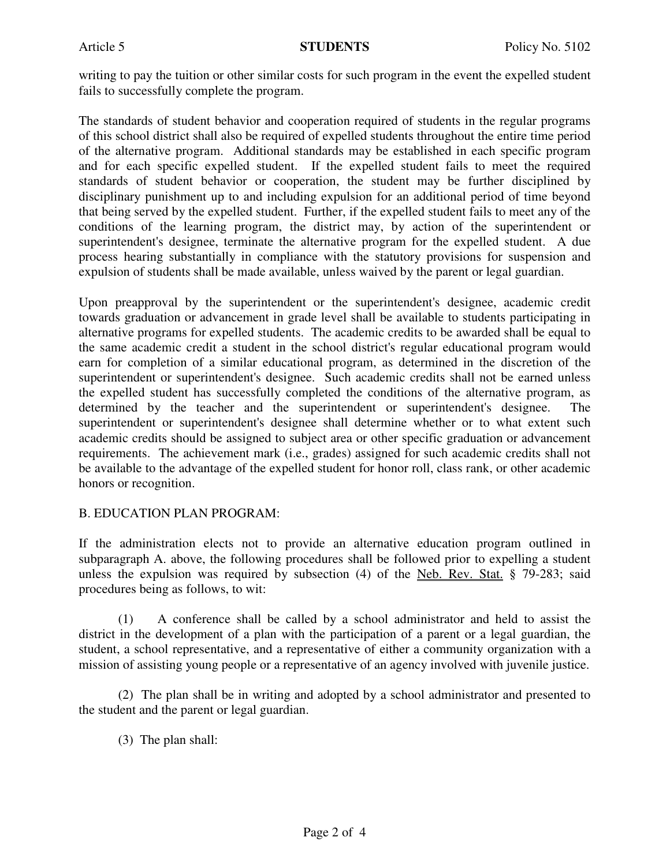writing to pay the tuition or other similar costs for such program in the event the expelled student fails to successfully complete the program.

The standards of student behavior and cooperation required of students in the regular programs of this school district shall also be required of expelled students throughout the entire time period of the alternative program. Additional standards may be established in each specific program and for each specific expelled student. If the expelled student fails to meet the required standards of student behavior or cooperation, the student may be further disciplined by disciplinary punishment up to and including expulsion for an additional period of time beyond that being served by the expelled student. Further, if the expelled student fails to meet any of the conditions of the learning program, the district may, by action of the superintendent or superintendent's designee, terminate the alternative program for the expelled student. A due process hearing substantially in compliance with the statutory provisions for suspension and expulsion of students shall be made available, unless waived by the parent or legal guardian.

Upon preapproval by the superintendent or the superintendent's designee, academic credit towards graduation or advancement in grade level shall be available to students participating in alternative programs for expelled students. The academic credits to be awarded shall be equal to the same academic credit a student in the school district's regular educational program would earn for completion of a similar educational program, as determined in the discretion of the superintendent or superintendent's designee. Such academic credits shall not be earned unless the expelled student has successfully completed the conditions of the alternative program, as determined by the teacher and the superintendent or superintendent's designee. superintendent or superintendent's designee shall determine whether or to what extent such academic credits should be assigned to subject area or other specific graduation or advancement requirements. The achievement mark (i.e., grades) assigned for such academic credits shall not be available to the advantage of the expelled student for honor roll, class rank, or other academic honors or recognition.

### B. EDUCATION PLAN PROGRAM:

If the administration elects not to provide an alternative education program outlined in subparagraph A. above, the following procedures shall be followed prior to expelling a student unless the expulsion was required by subsection (4) of the Neb. Rev. Stat. § 79-283; said procedures being as follows, to wit:

 (1) A conference shall be called by a school administrator and held to assist the district in the development of a plan with the participation of a parent or a legal guardian, the student, a school representative, and a representative of either a community organization with a mission of assisting young people or a representative of an agency involved with juvenile justice.

 (2) The plan shall be in writing and adopted by a school administrator and presented to the student and the parent or legal guardian.

(3) The plan shall: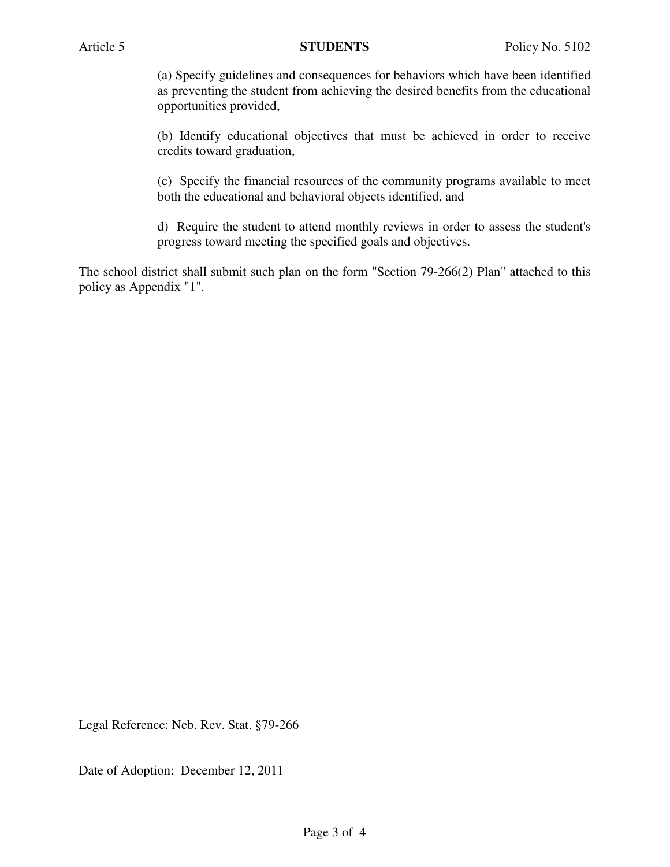(a) Specify guidelines and consequences for behaviors which have been identified as preventing the student from achieving the desired benefits from the educational opportunities provided,

(b) Identify educational objectives that must be achieved in order to receive credits toward graduation,

(c) Specify the financial resources of the community programs available to meet both the educational and behavioral objects identified, and

d) Require the student to attend monthly reviews in order to assess the student's progress toward meeting the specified goals and objectives.

The school district shall submit such plan on the form "Section 79-266(2) Plan" attached to this policy as Appendix "1".

Legal Reference: Neb. Rev. Stat. §79-266

Date of Adoption: December 12, 2011